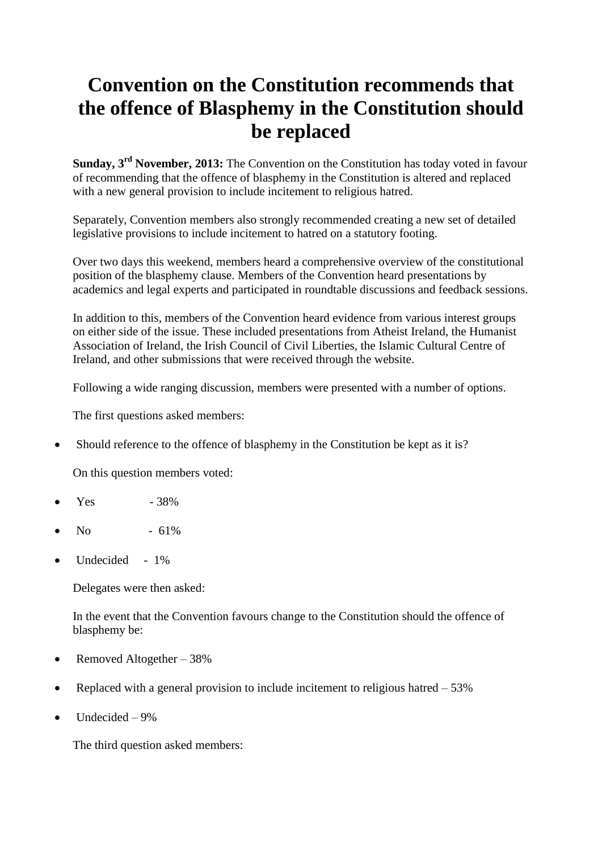## **Convention on the Constitution recommends that the offence of Blasphemy in the Constitution should be replaced**

**Sunday, 3rd November, 2013:** The Convention on the Constitution has today voted in favour of recommending that the offence of blasphemy in the Constitution is altered and replaced with a new general provision to include incitement to religious hatred.

Separately, Convention members also strongly recommended creating a new set of detailed legislative provisions to include incitement to hatred on a statutory footing.

Over two days this weekend, members heard a comprehensive overview of the constitutional position of the blasphemy clause. Members of the Convention heard presentations by academics and legal experts and participated in roundtable discussions and feedback sessions.

In addition to this, members of the Convention heard evidence from various interest groups on either side of the issue. These included presentations from Atheist Ireland, the Humanist Association of Ireland, the Irish Council of Civil Liberties, the Islamic Cultural Centre of Ireland, and other submissions that were received through the website.

Following a wide ranging discussion, members were presented with a number of options.

The first questions asked members:

Should reference to the offence of blasphemy in the Constitution be kept as it is?

On this question members voted:

- Yes 38%
- $N<sub>0</sub>$  61%
- Undecided 1%

Delegates were then asked:

In the event that the Convention favours change to the Constitution should the offence of blasphemy be:

- Removed Altogether  $-38%$
- Replaced with a general provision to include incitement to religious hatred  $-53\%$
- Undecided 9%

The third question asked members: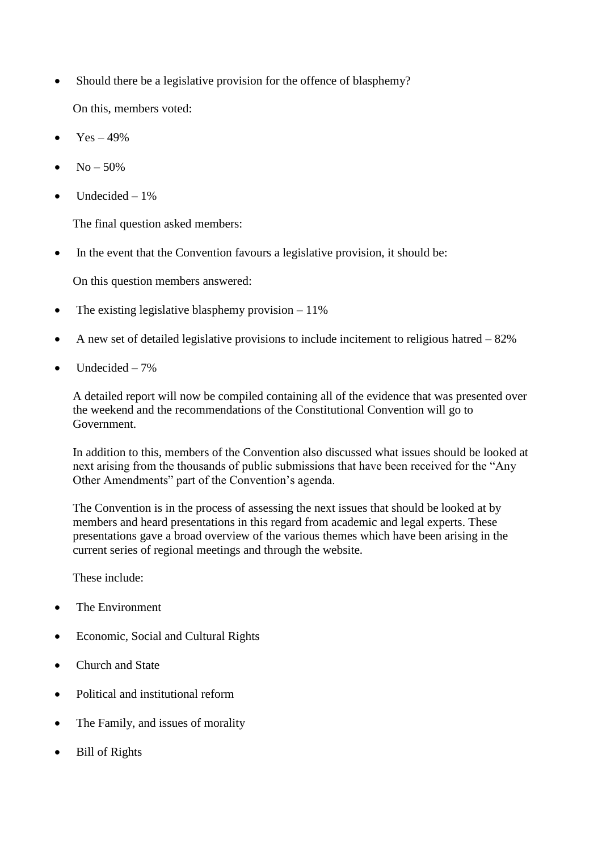• Should there be a legislative provision for the offence of blasphemy?

On this, members voted:

- $Yes 49\%$
- $No 50\%$
- Undecided 1%

The final question asked members:

In the event that the Convention favours a legislative provision, it should be:

On this question members answered:

- The existing legislative blasphemy provision  $-11\%$
- A new set of detailed legislative provisions to include incitement to religious hatred  $-82\%$
- Undecided 7%

A detailed report will now be compiled containing all of the evidence that was presented over the weekend and the recommendations of the Constitutional Convention will go to Government.

In addition to this, members of the Convention also discussed what issues should be looked at next arising from the thousands of public submissions that have been received for the "Any Other Amendments" part of the Convention's agenda.

The Convention is in the process of assessing the next issues that should be looked at by members and heard presentations in this regard from academic and legal experts. These presentations gave a broad overview of the various themes which have been arising in the current series of regional meetings and through the website.

These include:

- The Environment
- Economic, Social and Cultural Rights
- Church and State
- Political and institutional reform
- The Family, and issues of morality
- Bill of Rights